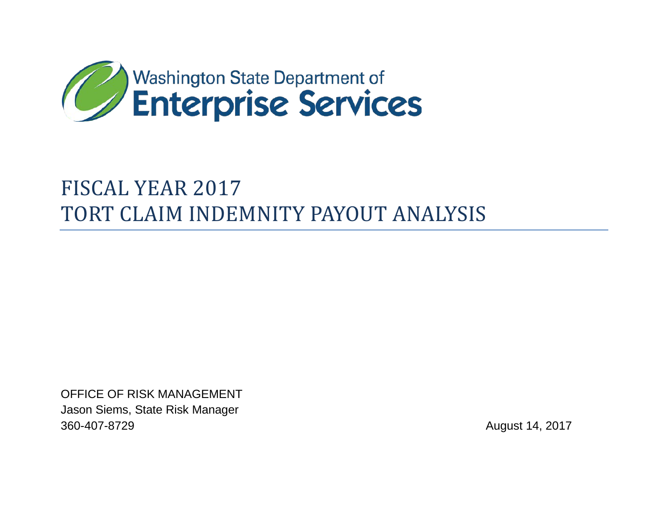

# FISCAL YEAR 2017 TORT CLAIM INDEMNITY PAYOUT ANALYSIS

OFFICE OF RISK MANAGEMENT Jason Siems, State Risk Manager 360-407-8729 August 14, 2017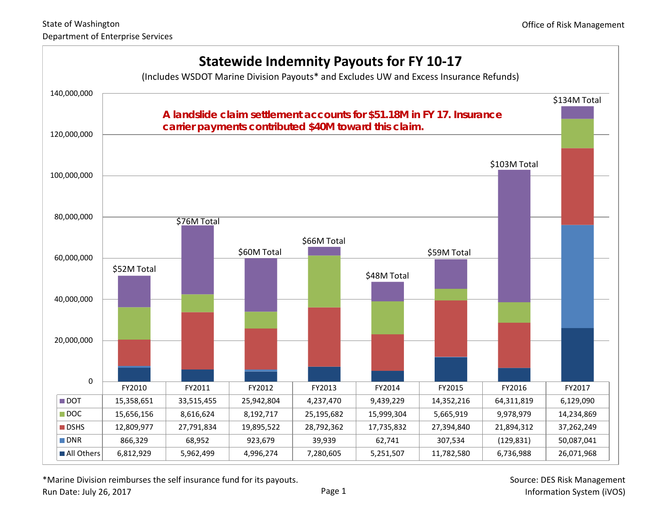

\*Marine Division reimburses the self insurance fund for its payouts.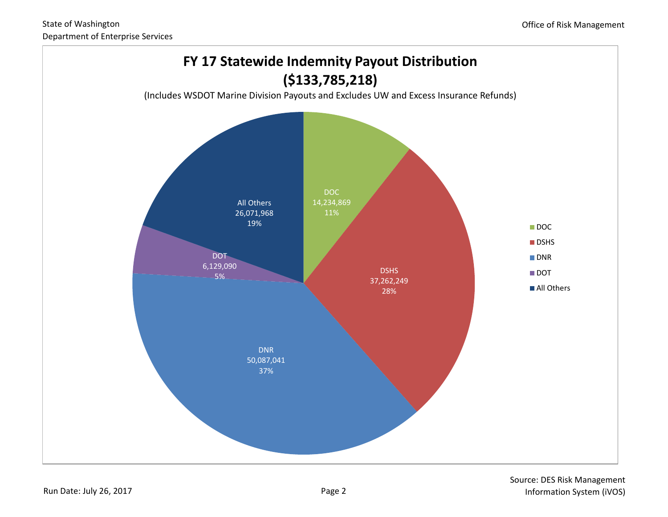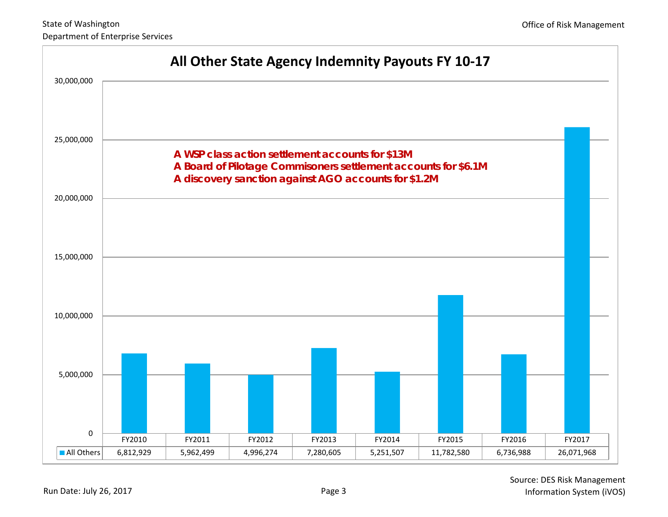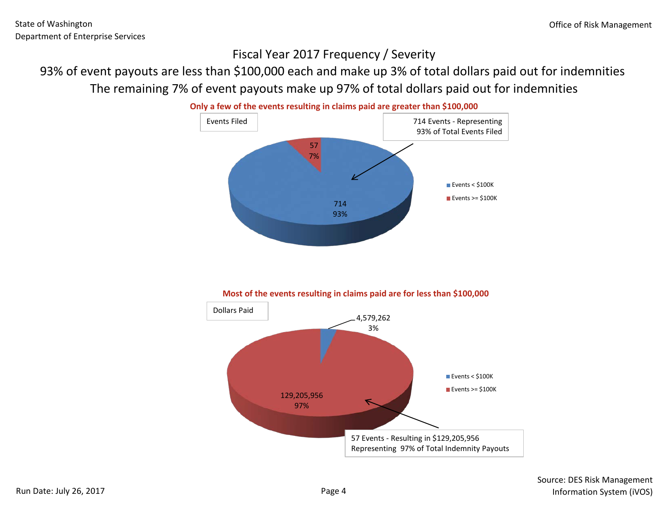### Fiscal Year 2017 Frequency / Severity

# 93% of event payouts are less than \$100,000 each and make up 3% of total dollars paid out for indemnities The remaining 7% of event payouts make up 97% of total dollars paid out for indemnities



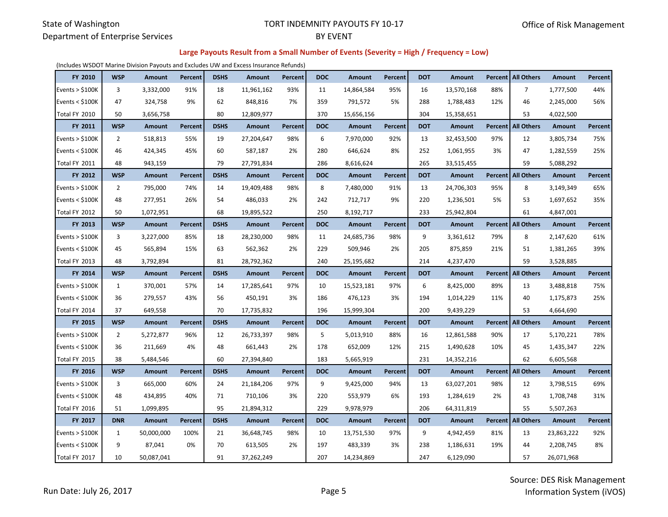#### State of Washington Department of Enterprise Services

#### TORT INDEMNITY PAYOUTS FY 10-17 BY EVENT

#### **Large Payouts Result from a Small Number of Events (Severity = High / Frequency = Low)**

(Includes WSDOT Marine Division Payouts and Excludes UW and Excess Insurance Refunds)

| FY 2010           | <b>WSP</b>     | Amount        | Percent        | <b>DSHS</b> | Amount        | Percent        | <b>DOC</b> | Amount     | Percent | <b>DOT</b> | <b>Amount</b> | <b>Percent</b> | <b>All Others</b>         | Amount     | Percent |
|-------------------|----------------|---------------|----------------|-------------|---------------|----------------|------------|------------|---------|------------|---------------|----------------|---------------------------|------------|---------|
| Events $>$ \$100K | 3              | 3,332,000     | 91%            | 18          | 11,961,162    | 93%            | 11         | 14,864,584 | 95%     | 16         | 13,570,168    | 88%            | $\overline{7}$            | 1,777,500  | 44%     |
| Events $<$ \$100K | 47             | 324,758       | 9%             | 62          | 848,816       | 7%             | 359        | 791,572    | 5%      | 288        | 1,788,483     | 12%            | 46                        | 2,245,000  | 56%     |
| Total FY 2010     | 50             | 3,656,758     |                | 80          | 12,809,977    |                | 370        | 15,656,156 |         | 304        | 15,358,651    |                | 53                        | 4,022,500  |         |
| FY 2011           | <b>WSP</b>     | Amount        | <b>Percent</b> | <b>DSHS</b> | Amount        | Percent        | <b>DOC</b> | Amount     | Percent | <b>DOT</b> | Amount        |                | Percent   All Others      | Amount     | Percent |
| Events $>$ \$100K | 2              | 518,813       | 55%            | 19          | 27,204,647    | 98%            | 6          | 7,970,000  | 92%     | 13         | 32,453,500    | 97%            | 12                        | 3,805,734  | 75%     |
| Events $<$ \$100K | 46             | 424,345       | 45%            | 60          | 587,187       | 2%             | 280        | 646,624    | 8%      | 252        | 1,061,955     | 3%             | 47                        | 1,282,559  | 25%     |
| Total FY 2011     | 48             | 943,159       |                | 79          | 27,791,834    |                | 286        | 8,616,624  |         | 265        | 33,515,455    |                | 59                        | 5,088,292  |         |
| FY 2012           | <b>WSP</b>     | Amount        | Percent        | <b>DSHS</b> | <b>Amount</b> | Percent        | <b>DOC</b> | Amount     | Percent | <b>DOT</b> | Amount        | <b>Percent</b> | <b>All Others</b>         | Amount     | Percent |
| Events $>$ \$100K | $\overline{2}$ | 795,000       | 74%            | 14          | 19,409,488    | 98%            | 8          | 7,480,000  | 91%     | 13         | 24,706,303    | 95%            | 8                         | 3,149,349  | 65%     |
| Events $<$ \$100K | 48             | 277,951       | 26%            | 54          | 486,033       | 2%             | 242        | 712,717    | 9%      | 220        | 1,236,501     | 5%             | 53                        | 1,697,652  | 35%     |
| Total FY 2012     | 50             | 1,072,951     |                | 68          | 19,895,522    |                | 250        | 8,192,717  |         | 233        | 25,942,804    |                | 61                        | 4,847,001  |         |
| FY 2013           | <b>WSP</b>     | Amount        | Percent        | <b>DSHS</b> | Amount        | Percent        | <b>DOC</b> | Amount     | Percent | <b>DOT</b> | Amount        | Percent        | <b>All Others</b>         | Amount     | Percent |
| Events $>$ \$100K | 3              | 3,227,000     | 85%            | 18          | 28,230,000    | 98%            | 11         | 24,685,736 | 98%     | 9          | 3,361,612     | 79%            | 8                         | 2,147,620  | 61%     |
| Events $<$ \$100K | 45             | 565,894       | 15%            | 63          | 562,362       | 2%             | 229        | 509,946    | 2%      | 205        | 875,859       | 21%            | 51                        | 1,381,265  | 39%     |
| Total FY 2013     | 48             | 3,792,894     |                | 81          | 28,792,362    |                | 240        | 25,195,682 |         | 214        | 4,237,470     |                | 59                        | 3,528,885  |         |
|                   |                |               |                |             |               |                |            |            |         |            |               |                |                           |            |         |
| FY 2014           | <b>WSP</b>     | Amount        | Percent        | <b>DSHS</b> | Amount        | Percent        | <b>DOC</b> | Amount     | Percent | <b>DOT</b> | Amount        |                | Percent   All Others      | Amount     | Percent |
| Events $>$ \$100K | 1              | 370,001       | 57%            | 14          | 17,285,641    | 97%            | 10         | 15,523,181 | 97%     | 6          | 8,425,000     | 89%            | 13                        | 3,488,818  | 75%     |
| Events $<$ \$100K | 36             | 279,557       | 43%            | 56          | 450,191       | 3%             | 186        | 476,123    | 3%      | 194        | 1,014,229     | 11%            | 40                        | 1,175,873  | 25%     |
| Total FY 2014     | 37             | 649,558       |                | 70          | 17,735,832    |                | 196        | 15,999,304 |         | 200        | 9,439,229     |                | 53                        | 4,664,690  |         |
| FY 2015           | <b>WSP</b>     | <b>Amount</b> | Percent        | <b>DSHS</b> | Amount        | <b>Percent</b> | <b>DOC</b> | Amount     | Percent | <b>DOT</b> | Amount        |                | Percent   All Others      | Amount     | Percent |
| Events $>$ \$100K | $\overline{2}$ | 5,272,877     | 96%            | 12          | 26,733,397    | 98%            | 5          | 5,013,910  | 88%     | 16         | 12,861,588    | 90%            | 17                        | 5,170,221  | 78%     |
| Events $<$ \$100K | 36             | 211,669       | 4%             | 48          | 661,443       | 2%             | 178        | 652,009    | 12%     | 215        | 1,490,628     | 10%            | 45                        | 1,435,347  | 22%     |
| Total FY 2015     | 38             | 5,484,546     |                | 60          | 27,394,840    |                | 183        | 5,665,919  |         | 231        | 14,352,216    |                | 62                        | 6,605,568  |         |
| FY 2016           | <b>WSP</b>     | <b>Amount</b> | Percent        | <b>DSHS</b> | Amount        | Percent        | <b>DOC</b> | Amount     | Percent | <b>DOT</b> | Amount        | <b>Percent</b> | <b>All Others</b>         | Amount     | Percent |
| Events $>$ \$100K | 3              | 665,000       | 60%            | 24          | 21,184,206    | 97%            | 9          | 9,425,000  | 94%     | 13         | 63,027,201    | 98%            | 12                        | 3,798,515  | 69%     |
| Events $<$ \$100K | 48             | 434,895       | 40%            | 71          | 710,106       | 3%             | 220        | 553,979    | 6%      | 193        | 1,284,619     | 2%             | 43                        | 1,708,748  | 31%     |
| Total FY 2016     | 51             | 1,099,895     |                | 95          | 21,894,312    |                | 229        | 9,978,979  |         | 206        | 64,311,819    |                | 55                        | 5,507,263  |         |
| FY 2017           | <b>DNR</b>     | Amount        | Percent        | <b>DSHS</b> | Amount        | Percent        | <b>DOC</b> | Amount     | Percent | <b>DOT</b> | Amount        |                | <b>Percent All Others</b> | Amount     | Percent |
| Events $>$ \$100K | 1              | 50,000,000    | 100%           | 21          | 36,648,745    | 98%            | 10         | 13,751,530 | 97%     | 9          | 4,942,459     | 81%            | 13                        | 23,863,222 | 92%     |
| Events $<$ \$100K | 9              | 87,041        | 0%             | 70          | 613,505       | 2%             | 197        | 483,339    | 3%      | 238        | 1,186,631     | 19%            | 44                        | 2,208,745  | 8%      |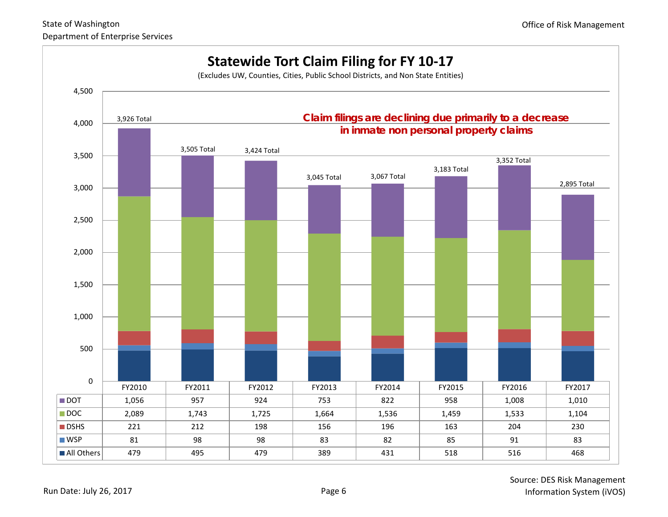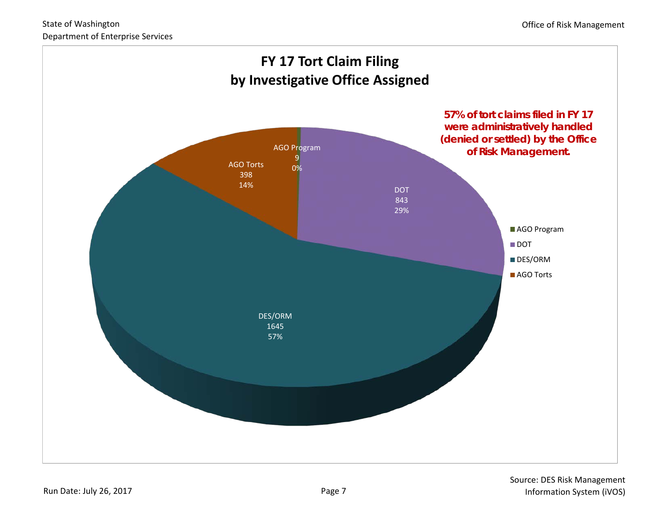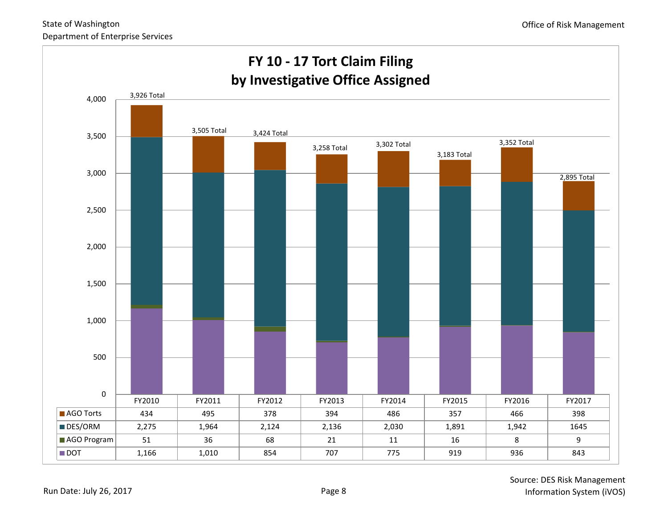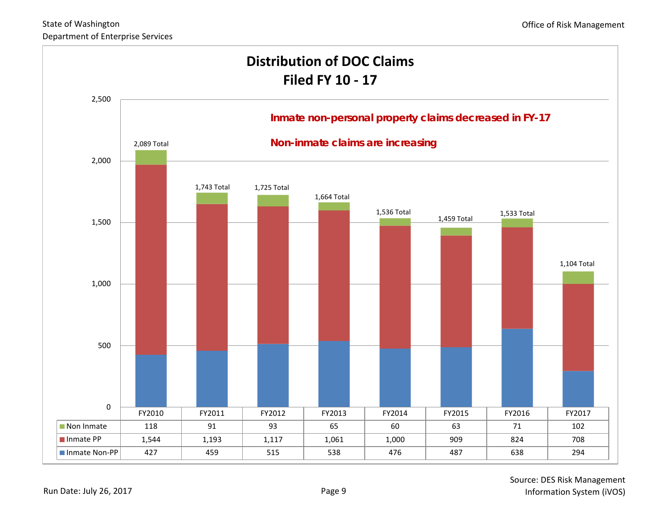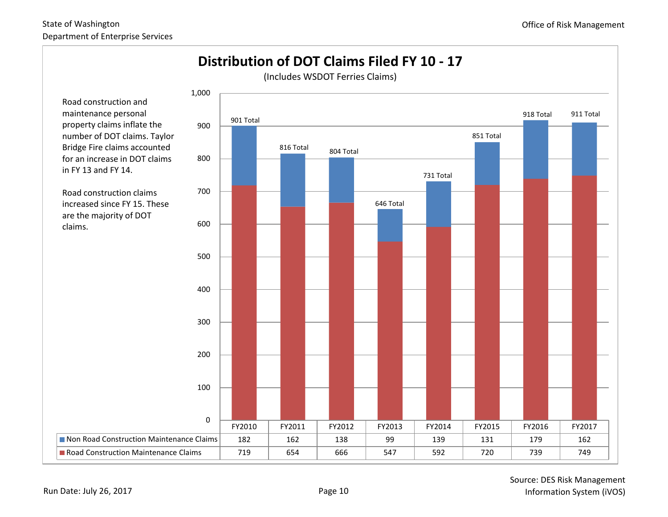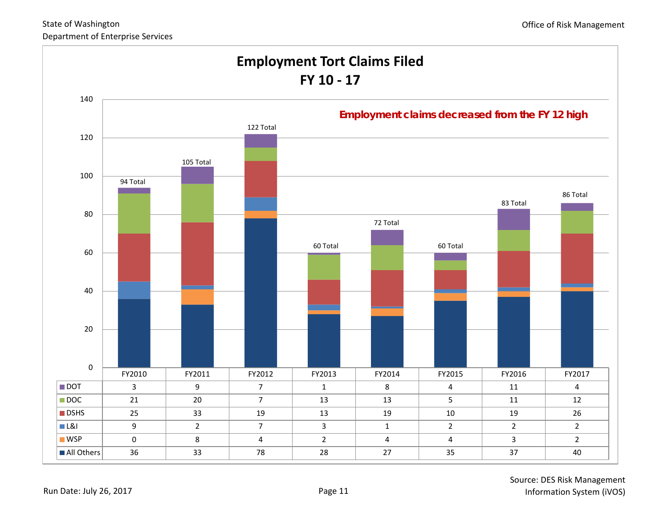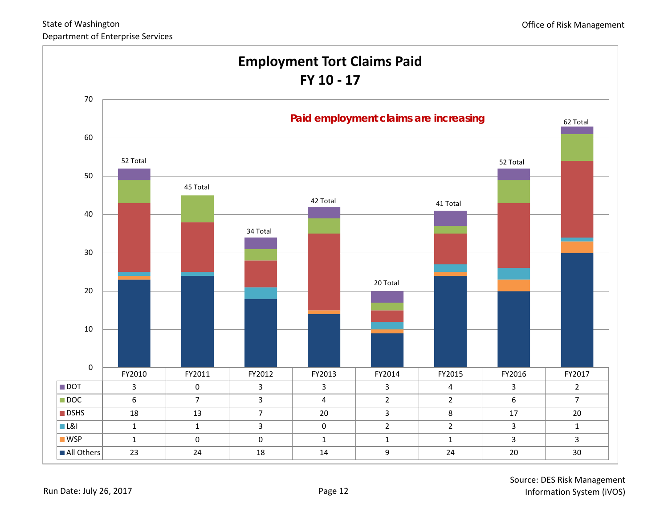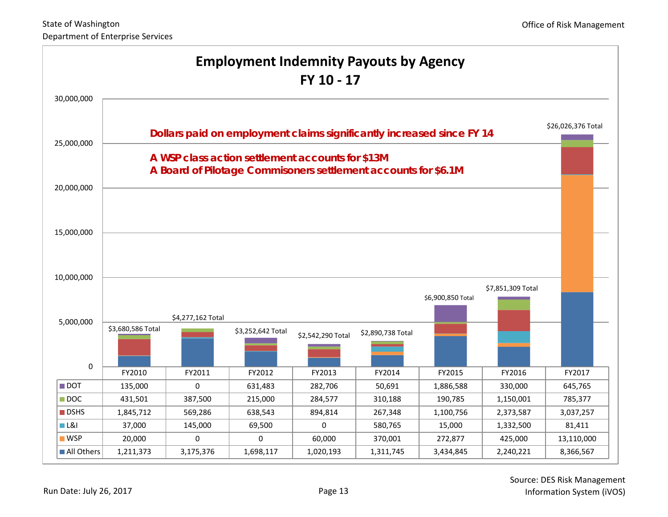| <b>Employment Indemnity Payouts by Agency</b><br>FY 10 - 17 |                                                                                                                           |                                                                |                   |                   |                   |                     |                   |                    |
|-------------------------------------------------------------|---------------------------------------------------------------------------------------------------------------------------|----------------------------------------------------------------|-------------------|-------------------|-------------------|---------------------|-------------------|--------------------|
| 30,000,000                                                  |                                                                                                                           |                                                                |                   |                   |                   |                     |                   |                    |
| 25,000,000                                                  | Dollars paid on employment claims significantly increased since FY 14<br>A WSP class action settlement accounts for \$13M |                                                                |                   |                   |                   |                     |                   | \$26,026,376 Total |
| 20,000,000                                                  |                                                                                                                           | A Board of Pilotage Commisoners settlement accounts for \$6.1M |                   |                   |                   |                     |                   |                    |
| 15,000,000                                                  |                                                                                                                           |                                                                |                   |                   |                   |                     |                   |                    |
| 10,000,000                                                  |                                                                                                                           |                                                                |                   |                   |                   | \$6,900,850 Total   | \$7,851,309 Total |                    |
| 5,000,000                                                   | \$3,680,586 Total                                                                                                         | \$4,277,162 Total                                              | \$3,252,642 Total | \$2,542,290 Total | \$2,890,738 Total |                     |                   |                    |
| $\pmb{0}$                                                   |                                                                                                                           |                                                                |                   |                   |                   |                     |                   |                    |
| $\blacksquare$ DOT                                          | FY2010<br>135,000                                                                                                         | FY2011<br>0                                                    | FY2012<br>631,483 | FY2013<br>282,706 | FY2014<br>50,691  | FY2015<br>1,886,588 | FY2016<br>330,000 | FY2017<br>645,765  |
| $\blacksquare$ DOC                                          | 431,501                                                                                                                   | 387,500                                                        | 215,000           | 284,577           | 310,188           | 190,785             | 1,150,001         | 785,377            |
| $\blacksquare$ DSHS                                         | 1,845,712                                                                                                                 | 569,286                                                        | 638,543           | 894,814           | 267,348           | 1,100,756           | 2,373,587         | 3,037,257          |
| L&l                                                         | 37,000                                                                                                                    | 145,000                                                        | 69,500            | 0                 | 580,765           | 15,000              | 1,332,500         | 81,411             |
| $\blacksquare$ WSP                                          | 20,000                                                                                                                    | 0                                                              | 0                 | 60,000            | 370,001           | 272,877             | 425,000           | 13,110,000         |
| All Others                                                  | 1,211,373                                                                                                                 | 3,175,376                                                      | 1,698,117         | 1,020,193         | 1,311,745         | 3,434,845           | 2,240,221         | 8,366,567          |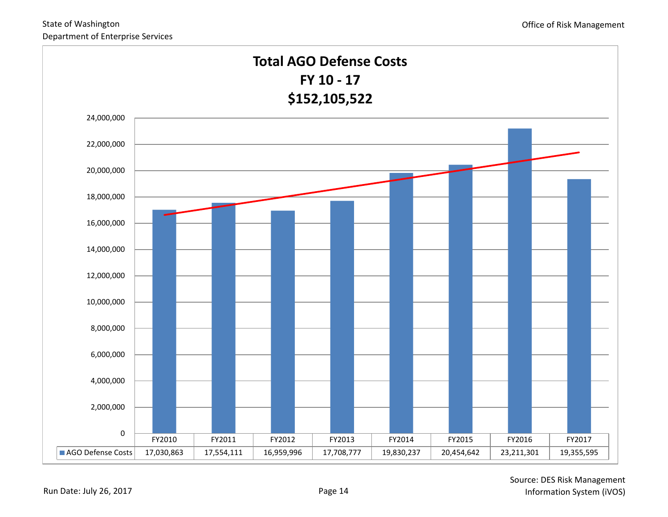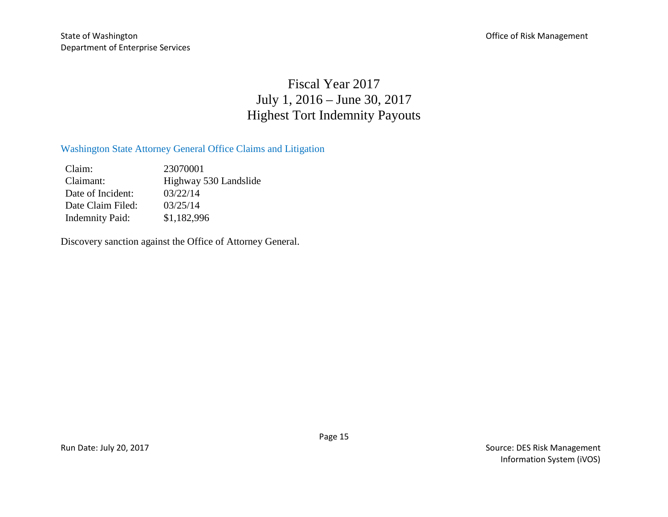## Fiscal Year 2017 July 1, 2016 – June 30, 2017 Highest Tort Indemnity Payouts

#### Washington State Attorney General Office Claims and Litigation

Claim: 23070001 Claimant: Highway 530 Landslide Date of Incident: 03/22/14 Date Claim Filed: 03/25/14 Indemnity Paid: \$1,182,996

Discovery sanction against the Office of Attorney General.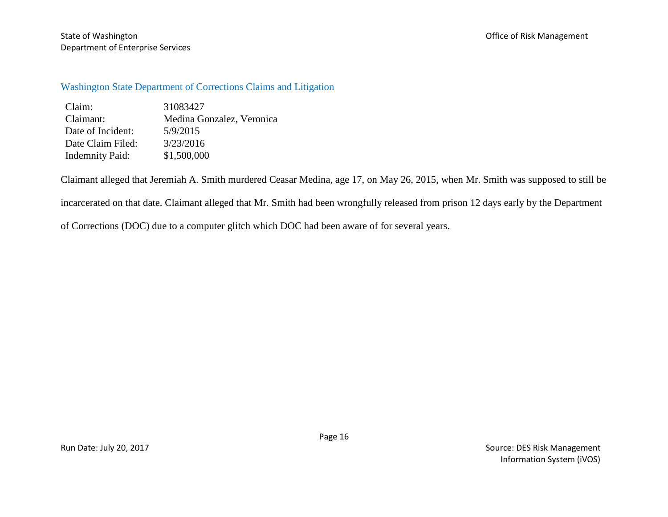State of Washington **State of Washington** Christ Management Department of Enterprise Services

Washington State Department of Corrections Claims and Litigation

| Claim:                 | 31083427                  |
|------------------------|---------------------------|
| Claimant:              | Medina Gonzalez, Veronica |
| Date of Incident:      | 5/9/2015                  |
| Date Claim Filed:      | 3/23/2016                 |
| <b>Indemnity Paid:</b> | \$1,500,000               |

Claimant alleged that Jeremiah A. Smith murdered Ceasar Medina, age 17, on May 26, 2015, when Mr. Smith was supposed to still be

incarcerated on that date. Claimant alleged that Mr. Smith had been wrongfully released from prison 12 days early by the Department

of Corrections (DOC) due to a computer glitch which DOC had been aware of for several years.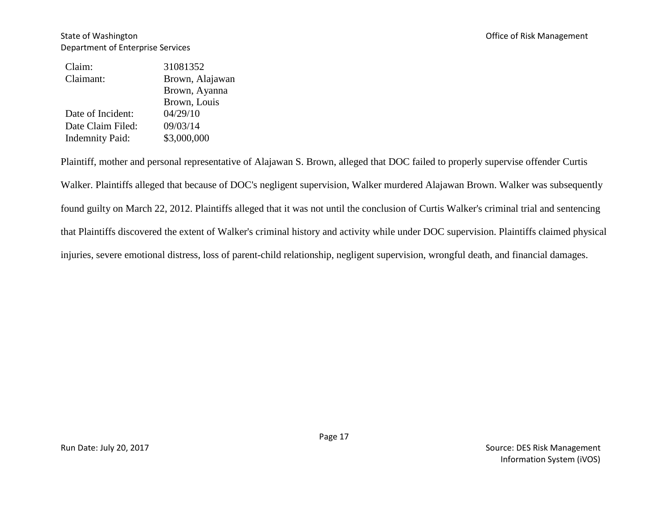| Claim:                 | 31081352        |
|------------------------|-----------------|
| Claimant:              | Brown, Alajawan |
|                        | Brown, Ayanna   |
|                        | Brown, Louis    |
| Date of Incident:      | 04/29/10        |
| Date Claim Filed:      | 09/03/14        |
| <b>Indemnity Paid:</b> | \$3,000,000     |

Plaintiff, mother and personal representative of Alajawan S. Brown, alleged that DOC failed to properly supervise offender Curtis Walker. Plaintiffs alleged that because of DOC's negligent supervision, Walker murdered Alajawan Brown. Walker was subsequently found guilty on March 22, 2012. Plaintiffs alleged that it was not until the conclusion of Curtis Walker's criminal trial and sentencing that Plaintiffs discovered the extent of Walker's criminal history and activity while under DOC supervision. Plaintiffs claimed physical injuries, severe emotional distress, loss of parent-child relationship, negligent supervision, wrongful death, and financial damages.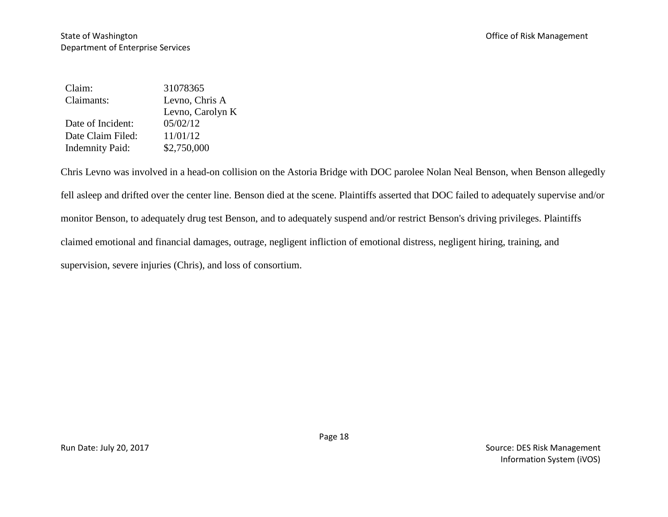| Claim:                 | 31078365         |
|------------------------|------------------|
| Claimants:             | Levno, Chris A   |
|                        | Levno, Carolyn K |
| Date of Incident:      | 05/02/12         |
| Date Claim Filed:      | 11/01/12         |
| <b>Indemnity Paid:</b> | \$2,750,000      |

Chris Levno was involved in a head-on collision on the Astoria Bridge with DOC parolee Nolan Neal Benson, when Benson allegedly fell asleep and drifted over the center line. Benson died at the scene. Plaintiffs asserted that DOC failed to adequately supervise and/or monitor Benson, to adequately drug test Benson, and to adequately suspend and/or restrict Benson's driving privileges. Plaintiffs claimed emotional and financial damages, outrage, negligent infliction of emotional distress, negligent hiring, training, and supervision, severe injuries (Chris), and loss of consortium.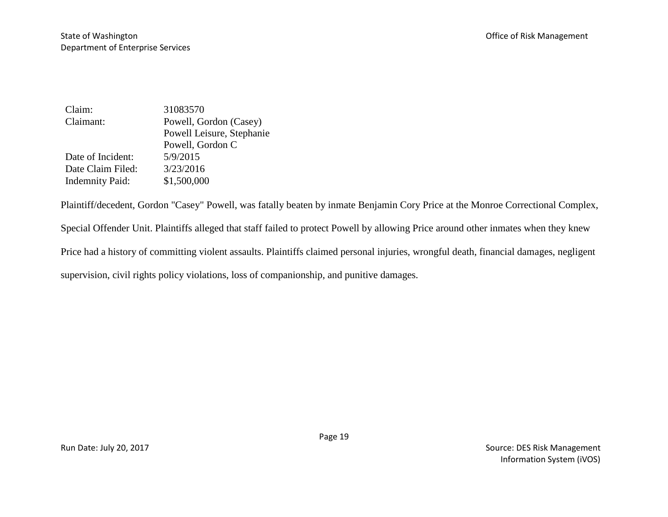| Claim:                 | 31083570                  |
|------------------------|---------------------------|
| Claimant:              | Powell, Gordon (Casey)    |
|                        | Powell Leisure, Stephanie |
|                        | Powell, Gordon C          |
| Date of Incident:      | 5/9/2015                  |
| Date Claim Filed:      | 3/23/2016                 |
| <b>Indemnity Paid:</b> | \$1,500,000               |

Plaintiff/decedent, Gordon "Casey" Powell, was fatally beaten by inmate Benjamin Cory Price at the Monroe Correctional Complex, Special Offender Unit. Plaintiffs alleged that staff failed to protect Powell by allowing Price around other inmates when they knew Price had a history of committing violent assaults. Plaintiffs claimed personal injuries, wrongful death, financial damages, negligent supervision, civil rights policy violations, loss of companionship, and punitive damages.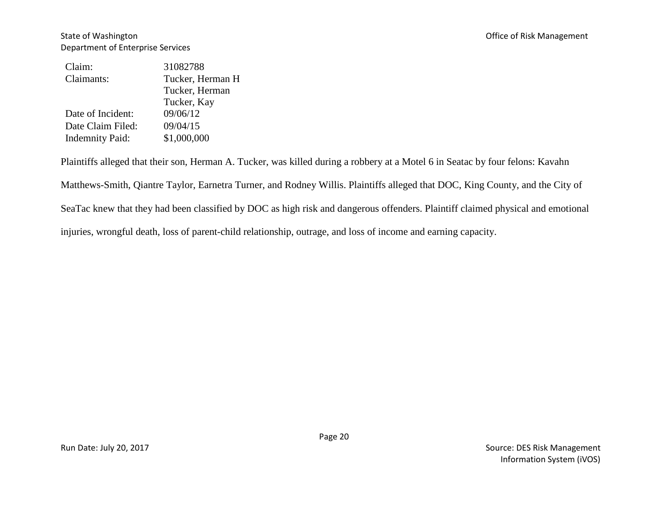| Claim:                 | 31082788         |
|------------------------|------------------|
| Claimants:             | Tucker, Herman H |
|                        | Tucker, Herman   |
|                        | Tucker, Kay      |
| Date of Incident:      | 09/06/12         |
| Date Claim Filed:      | 09/04/15         |
| <b>Indemnity Paid:</b> | \$1,000,000      |

Plaintiffs alleged that their son, Herman A. Tucker, was killed during a robbery at a Motel 6 in Seatac by four felons: Kavahn Matthews-Smith, Qiantre Taylor, Earnetra Turner, and Rodney Willis. Plaintiffs alleged that DOC, King County, and the City of SeaTac knew that they had been classified by DOC as high risk and dangerous offenders. Plaintiff claimed physical and emotional injuries, wrongful death, loss of parent-child relationship, outrage, and loss of income and earning capacity.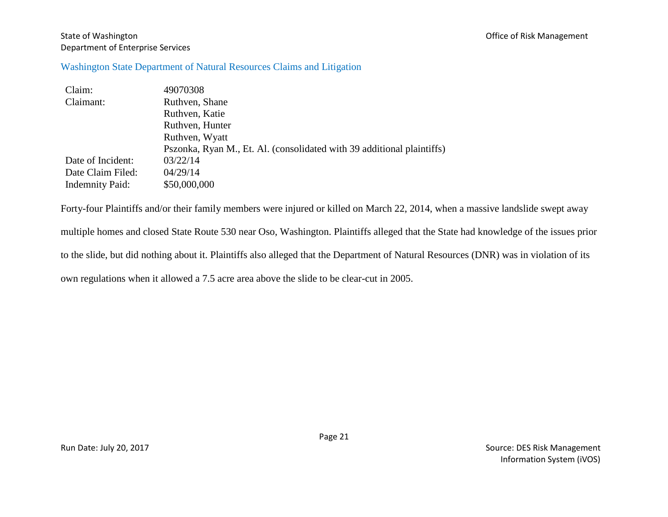#### State of Washington **State of Washington** Christ Management Department of Enterprise Services

#### Washington State Department of Natural Resources Claims and Litigation

| Claim:                 | 49070308                                                               |
|------------------------|------------------------------------------------------------------------|
| Claimant:              | Ruthven, Shane                                                         |
|                        | Ruthven, Katie                                                         |
|                        | Ruthven, Hunter                                                        |
|                        | Ruthven, Wyatt                                                         |
|                        | Pszonka, Ryan M., Et. Al. (consolidated with 39 additional plaintiffs) |
| Date of Incident:      | 03/22/14                                                               |
| Date Claim Filed:      | 04/29/14                                                               |
| <b>Indemnity Paid:</b> | \$50,000,000                                                           |

Forty-four Plaintiffs and/or their family members were injured or killed on March 22, 2014, when a massive landslide swept away multiple homes and closed State Route 530 near Oso, Washington. Plaintiffs alleged that the State had knowledge of the issues prior to the slide, but did nothing about it. Plaintiffs also alleged that the Department of Natural Resources (DNR) was in violation of its own regulations when it allowed a 7.5 acre area above the slide to be clear-cut in 2005.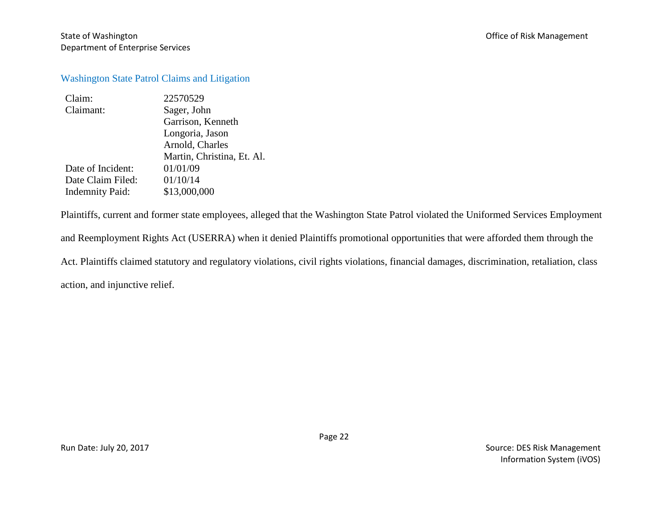#### Washington State Patrol Claims and Litigation

| Claim:                 | 22570529                   |
|------------------------|----------------------------|
| Claimant:              | Sager, John                |
|                        | Garrison, Kenneth          |
|                        | Longoria, Jason            |
|                        | Arnold, Charles            |
|                        | Martin, Christina, Et. Al. |
| Date of Incident:      | 01/01/09                   |
| Date Claim Filed:      | 01/10/14                   |
| <b>Indemnity Paid:</b> | \$13,000,000               |
|                        |                            |

Plaintiffs, current and former state employees, alleged that the Washington State Patrol violated the Uniformed Services Employment and Reemployment Rights Act (USERRA) when it denied Plaintiffs promotional opportunities that were afforded them through the Act. Plaintiffs claimed statutory and regulatory violations, civil rights violations, financial damages, discrimination, retaliation, class action, and injunctive relief.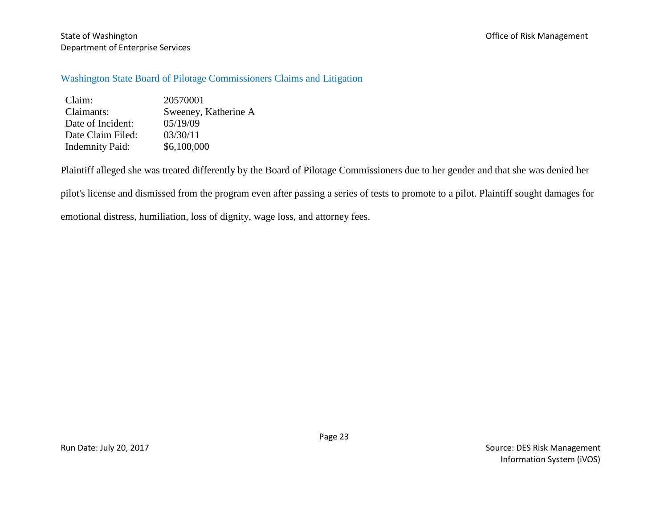State of Washington **State of Washington** Christ Management Department of Enterprise Services

#### Washington State Board of Pilotage Commissioners Claims and Litigation

Claim: 20570001<br>Claimants: Sweeney. Sweeney, Katherine A Date of Incident:  $05/19/09$ Date Claim Filed: 03/30/11 Indemnity Paid: \$6,100,000

Plaintiff alleged she was treated differently by the Board of Pilotage Commissioners due to her gender and that she was denied her

pilot's license and dismissed from the program even after passing a series of tests to promote to a pilot. Plaintiff sought damages for

emotional distress, humiliation, loss of dignity, wage loss, and attorney fees.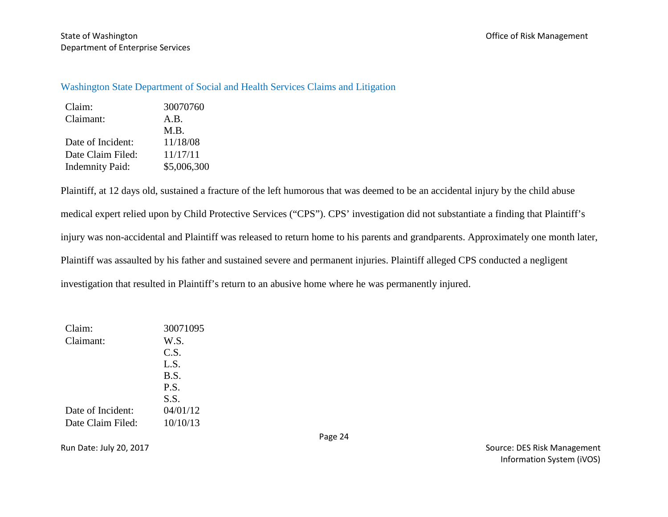#### Washington State Department of Social and Health Services Claims and Litigation

| Claim:                 | 30070760    |
|------------------------|-------------|
| Claimant:              | A.B.        |
|                        | M.B.        |
| Date of Incident:      | 11/18/08    |
| Date Claim Filed:      | 11/17/11    |
| <b>Indemnity Paid:</b> | \$5,006,300 |

Plaintiff, at 12 days old, sustained a fracture of the left humorous that was deemed to be an accidental injury by the child abuse medical expert relied upon by Child Protective Services ("CPS"). CPS' investigation did not substantiate a finding that Plaintiff's injury was non-accidental and Plaintiff was released to return home to his parents and grandparents. Approximately one month later, Plaintiff was assaulted by his father and sustained severe and permanent injuries. Plaintiff alleged CPS conducted a negligent investigation that resulted in Plaintiff's return to an abusive home where he was permanently injured.

| Claim:            | 30071095 |
|-------------------|----------|
| Claimant:         | W.S.     |
|                   | C.S.     |
|                   | L.S.     |
|                   | B.S.     |
|                   | P.S.     |
|                   | S.S.     |
| Date of Incident: | 04/01/12 |
| Date Claim Filed: | 10/10/13 |

Page 24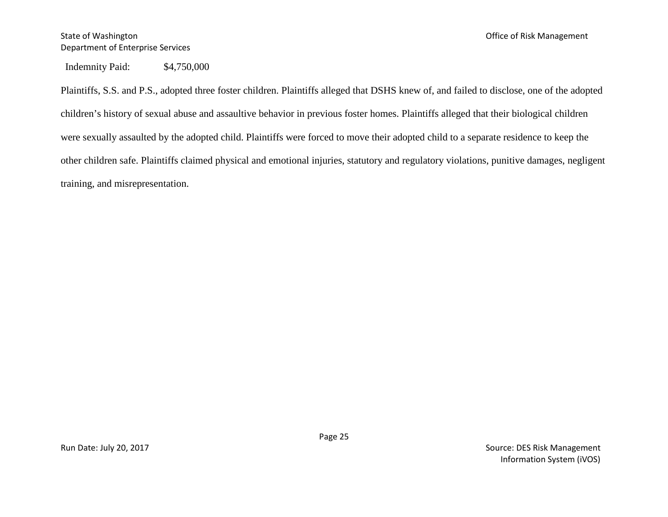Indemnity Paid: \$4,750,000

Plaintiffs, S.S. and P.S., adopted three foster children. Plaintiffs alleged that DSHS knew of, and failed to disclose, one of the adopted children's history of sexual abuse and assaultive behavior in previous foster homes. Plaintiffs alleged that their biological children were sexually assaulted by the adopted child. Plaintiffs were forced to move their adopted child to a separate residence to keep the other children safe. Plaintiffs claimed physical and emotional injuries, statutory and regulatory violations, punitive damages, negligent training, and misrepresentation.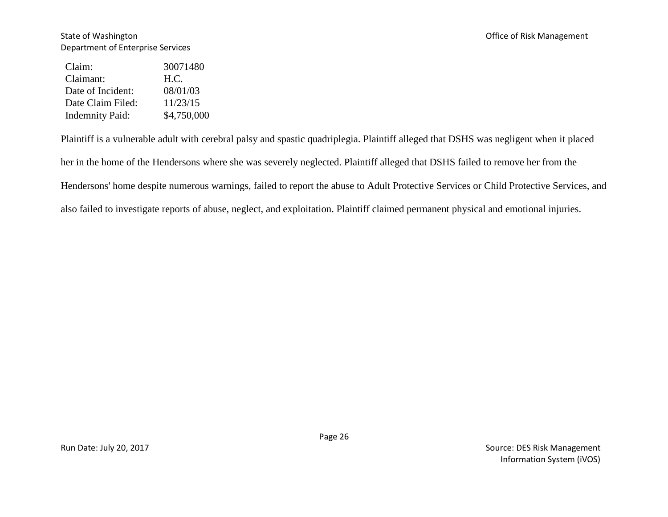#### State of Washington **State of Washington** Christ Management Department of Enterprise Services

| Claim:                 | 30071480    |
|------------------------|-------------|
| Claimant:              | H.C.        |
| Date of Incident:      | 08/01/03    |
| Date Claim Filed:      | 11/23/15    |
| <b>Indemnity Paid:</b> | \$4,750,000 |

Plaintiff is a vulnerable adult with cerebral palsy and spastic quadriplegia. Plaintiff alleged that DSHS was negligent when it placed her in the home of the Hendersons where she was severely neglected. Plaintiff alleged that DSHS failed to remove her from the Hendersons' home despite numerous warnings, failed to report the abuse to Adult Protective Services or Child Protective Services, and also failed to investigate reports of abuse, neglect, and exploitation. Plaintiff claimed permanent physical and emotional injuries.

Page 26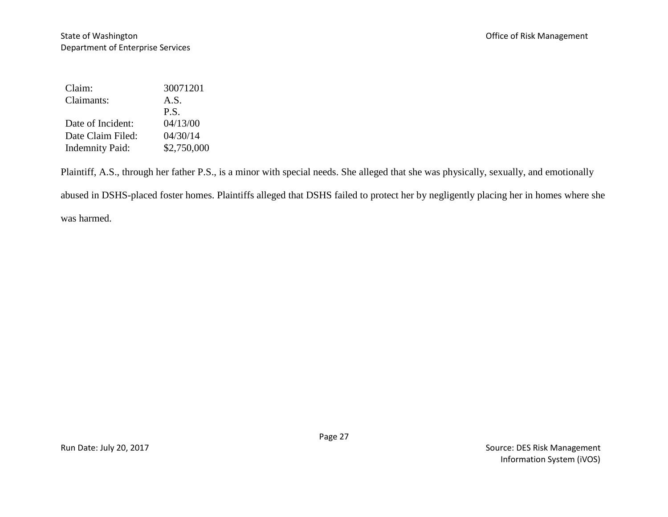| Claim:                 | 30071201    |
|------------------------|-------------|
| Claimants:             | A.S.        |
|                        | P.S.        |
| Date of Incident:      | 04/13/00    |
| Date Claim Filed:      | 04/30/14    |
| <b>Indemnity Paid:</b> | \$2,750,000 |

Plaintiff, A.S., through her father P.S., is a minor with special needs. She alleged that she was physically, sexually, and emotionally

abused in DSHS-placed foster homes. Plaintiffs alleged that DSHS failed to protect her by negligently placing her in homes where she

was harmed.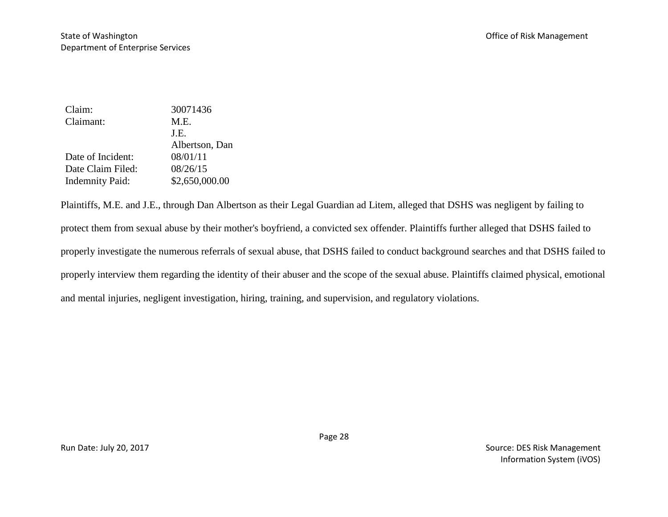| Claim:                 | 30071436       |
|------------------------|----------------|
| Claimant:              | M.E.           |
|                        | J.E.           |
|                        | Albertson, Dan |
| Date of Incident:      | 08/01/11       |
| Date Claim Filed:      | 08/26/15       |
| <b>Indemnity Paid:</b> | \$2,650,000.00 |

Plaintiffs, M.E. and J.E., through Dan Albertson as their Legal Guardian ad Litem, alleged that DSHS was negligent by failing to protect them from sexual abuse by their mother's boyfriend, a convicted sex offender. Plaintiffs further alleged that DSHS failed to properly investigate the numerous referrals of sexual abuse, that DSHS failed to conduct background searches and that DSHS failed to properly interview them regarding the identity of their abuser and the scope of the sexual abuse. Plaintiffs claimed physical, emotional and mental injuries, negligent investigation, hiring, training, and supervision, and regulatory violations.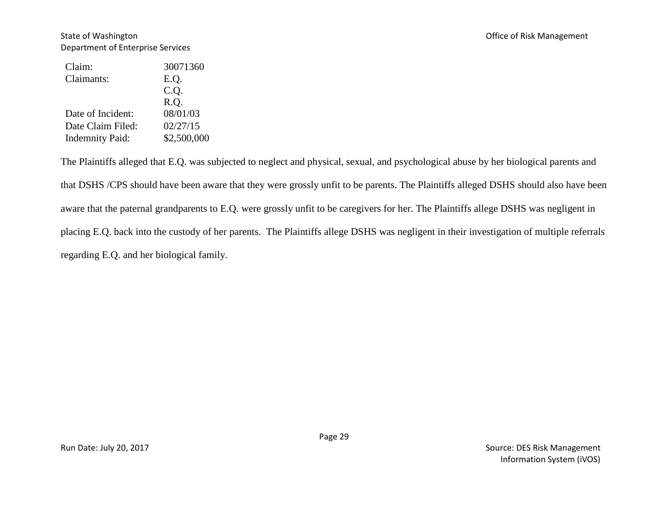#### State of Washington **State of Washington** Christ Management Christ Associates and Office of Risk Management Department of Enterprise Services

| Claim:                 | 30071360    |
|------------------------|-------------|
| Claimants:             | E.Q.        |
|                        | C.Q.        |
|                        | R.Q.        |
| Date of Incident:      | 08/01/03    |
| Date Claim Filed:      | 02/27/15    |
| <b>Indemnity Paid:</b> | \$2,500,000 |

The Plaintiffs alleged that E.Q. was subjected to neglect and physical, sexual, and psychological abuse by her biological parents and that DSHS /CPS should have been aware that they were grossly unfit to be parents. The Plaintiffs alleged DSHS should also have been aware that the paternal grandparents to E.Q. were grossly unfit to be caregivers for her. The Plaintiffs allege DSHS was negligent in placing E.Q. back into the custody of her parents. The Plaintiffs allege DSHS was negligent in their investigation of multiple referrals regarding E.Q. and her biological family.

Page 29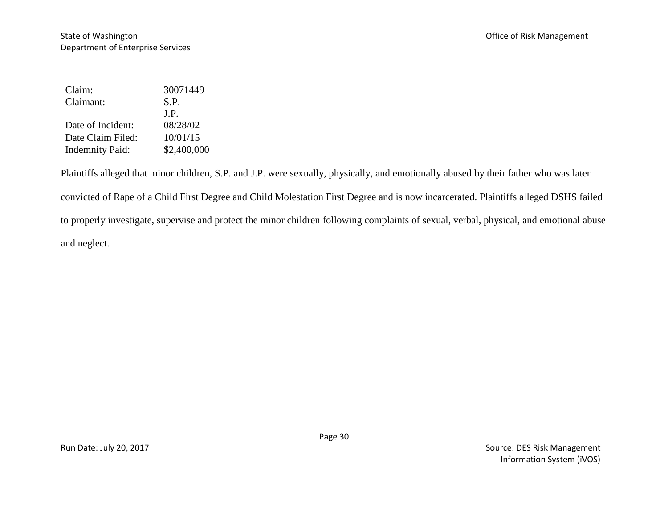| Claim:                 | 30071449    |
|------------------------|-------------|
| Claimant:              | S.P.        |
|                        | J.P.        |
| Date of Incident:      | 08/28/02    |
| Date Claim Filed:      | 10/01/15    |
| <b>Indemnity Paid:</b> | \$2,400,000 |

Plaintiffs alleged that minor children, S.P. and J.P. were sexually, physically, and emotionally abused by their father who was later convicted of Rape of a Child First Degree and Child Molestation First Degree and is now incarcerated. Plaintiffs alleged DSHS failed to properly investigate, supervise and protect the minor children following complaints of sexual, verbal, physical, and emotional abuse and neglect.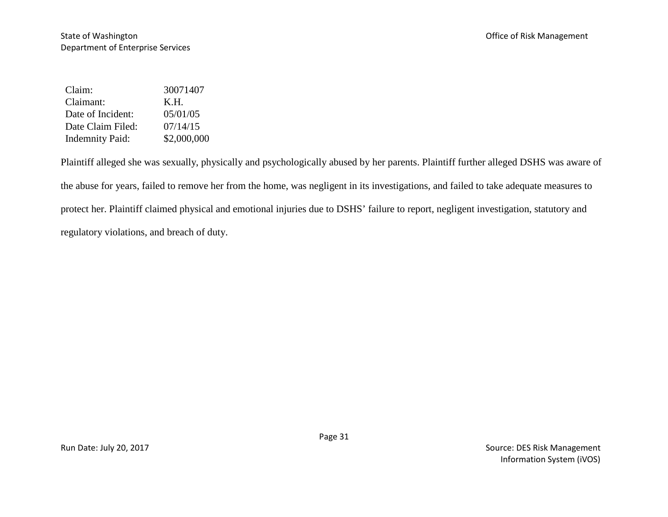| Claim:                 | 30071407    |
|------------------------|-------------|
| Claimant:              | K.H.        |
| Date of Incident:      | 05/01/05    |
| Date Claim Filed:      | 07/14/15    |
| <b>Indemnity Paid:</b> | \$2,000,000 |

Plaintiff alleged she was sexually, physically and psychologically abused by her parents. Plaintiff further alleged DSHS was aware of the abuse for years, failed to remove her from the home, was negligent in its investigations, and failed to take adequate measures to protect her. Plaintiff claimed physical and emotional injuries due to DSHS' failure to report, negligent investigation, statutory and regulatory violations, and breach of duty.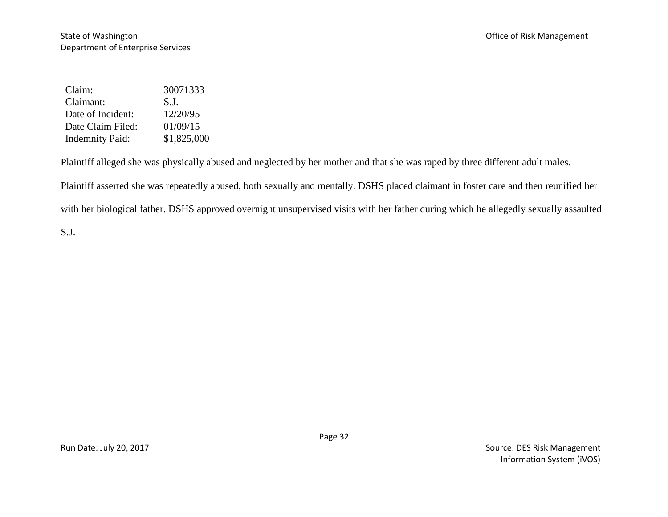| Claim:                 | 30071333    |
|------------------------|-------------|
| Claimant:              | S.L         |
| Date of Incident:      | 12/20/95    |
| Date Claim Filed:      | 01/09/15    |
| <b>Indemnity Paid:</b> | \$1,825,000 |

Plaintiff alleged she was physically abused and neglected by her mother and that she was raped by three different adult males.

Plaintiff asserted she was repeatedly abused, both sexually and mentally. DSHS placed claimant in foster care and then reunified her

with her biological father. DSHS approved overnight unsupervised visits with her father during which he allegedly sexually assaulted

S.J.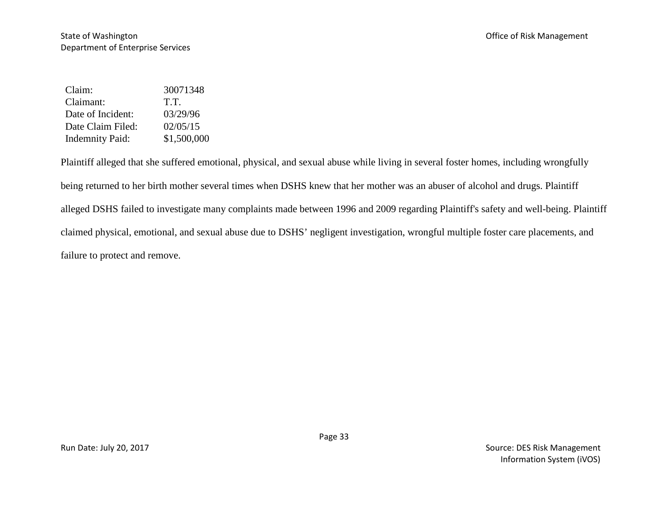| Claim:                 | 30071348    |
|------------------------|-------------|
| Claimant:              | T.T.        |
| Date of Incident:      | 03/29/96    |
| Date Claim Filed:      | 02/05/15    |
| <b>Indemnity Paid:</b> | \$1,500,000 |

Plaintiff alleged that she suffered emotional, physical, and sexual abuse while living in several foster homes, including wrongfully being returned to her birth mother several times when DSHS knew that her mother was an abuser of alcohol and drugs. Plaintiff alleged DSHS failed to investigate many complaints made between 1996 and 2009 regarding Plaintiff's safety and well-being. Plaintiff claimed physical, emotional, and sexual abuse due to DSHS' negligent investigation, wrongful multiple foster care placements, and failure to protect and remove.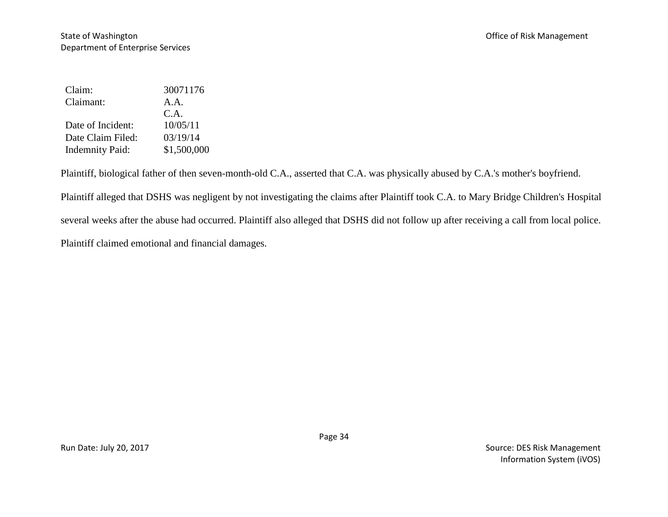| Claim:                 | 30071176    |
|------------------------|-------------|
| Claimant:              | A.A.        |
|                        | C.A.        |
| Date of Incident:      | 10/05/11    |
| Date Claim Filed:      | 03/19/14    |
| <b>Indemnity Paid:</b> | \$1,500,000 |

Plaintiff, biological father of then seven-month-old C.A., asserted that C.A. was physically abused by C.A.'s mother's boyfriend.

Plaintiff alleged that DSHS was negligent by not investigating the claims after Plaintiff took C.A. to Mary Bridge Children's Hospital several weeks after the abuse had occurred. Plaintiff also alleged that DSHS did not follow up after receiving a call from local police. Plaintiff claimed emotional and financial damages.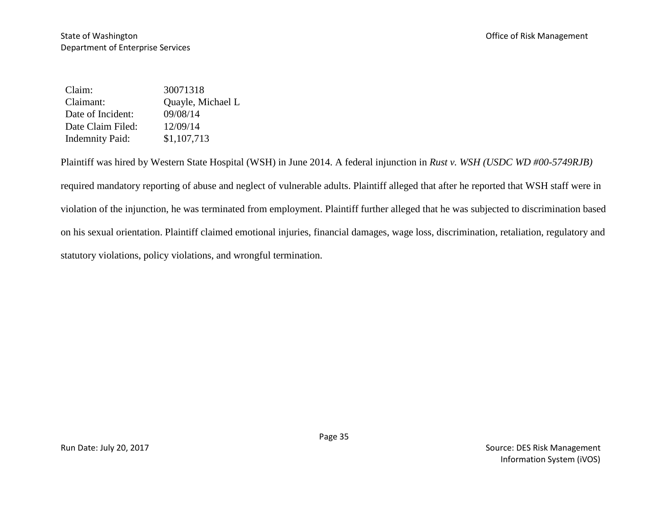Claim: 30071318 Claimant: Quayle, Michael L Date of Incident: 09/08/14 Date Claim Filed: 12/09/14 Indemnity Paid: \$1,107,713

Plaintiff was hired by Western State Hospital (WSH) in June 2014. A federal injunction in *Rust v. WSH (USDC WD #00-5749RJB)* required mandatory reporting of abuse and neglect of vulnerable adults. Plaintiff alleged that after he reported that WSH staff were in violation of the injunction, he was terminated from employment. Plaintiff further alleged that he was subjected to discrimination based on his sexual orientation. Plaintiff claimed emotional injuries, financial damages, wage loss, discrimination, retaliation, regulatory and statutory violations, policy violations, and wrongful termination.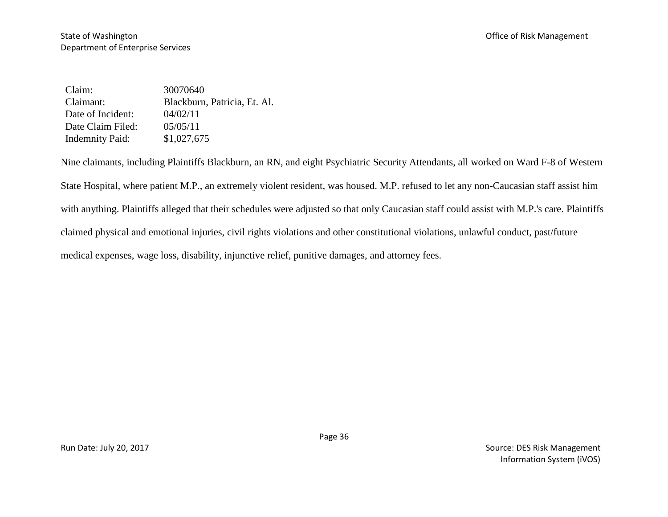Claim: 30070640 Claimant: Blackburn, Patricia, Et. Al. Date of Incident:  $04/02/11$ Date Claim Filed: 05/05/11 Indemnity Paid: \$1,027,675

Nine claimants, including Plaintiffs Blackburn, an RN, and eight Psychiatric Security Attendants, all worked on Ward F-8 of Western State Hospital, where patient M.P., an extremely violent resident, was housed. M.P. refused to let any non-Caucasian staff assist him with anything. Plaintiffs alleged that their schedules were adjusted so that only Caucasian staff could assist with M.P.'s care. Plaintiffs claimed physical and emotional injuries, civil rights violations and other constitutional violations, unlawful conduct, past/future medical expenses, wage loss, disability, injunctive relief, punitive damages, and attorney fees.

Run Date: July 20, 2017 Source: DES Risk Management Information System (iVOS)